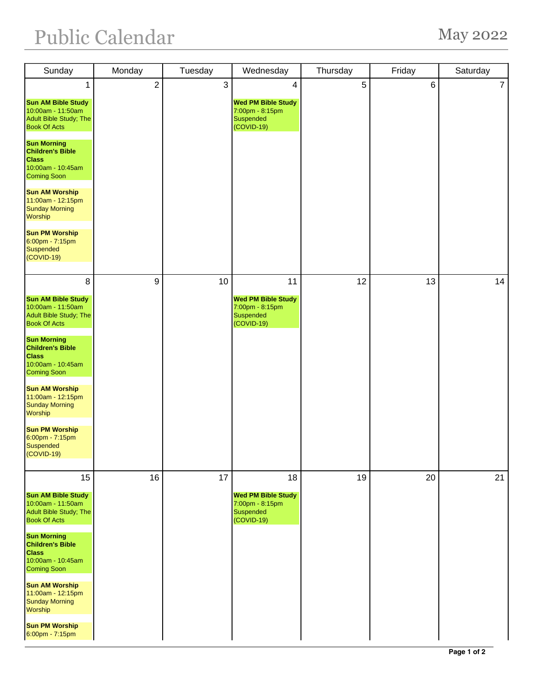## Public Calendar May 2022

| Sunday                                                                                                   | Monday         | Tuesday | Wednesday                                                                      | Thursday       | Friday | Saturday       |
|----------------------------------------------------------------------------------------------------------|----------------|---------|--------------------------------------------------------------------------------|----------------|--------|----------------|
| 1                                                                                                        | $\overline{c}$ | 3       | 4                                                                              | $\overline{5}$ | $\,6$  | $\overline{7}$ |
| <b>Sun AM Bible Study</b><br>10:00am - 11:50am<br><b>Adult Bible Study; The</b><br><b>Book Of Acts</b>   |                |         | <b>Wed PM Bible Study</b><br>7:00pm - 8:15pm<br>Suspended<br>(COVID-19)        |                |        |                |
| <b>Sun Morning</b><br><b>Children's Bible</b><br><b>Class</b><br>10:00am - 10:45am<br><b>Coming Soon</b> |                |         |                                                                                |                |        |                |
| <b>Sun AM Worship</b><br>11:00am - 12:15pm<br><b>Sunday Morning</b><br>Worship                           |                |         |                                                                                |                |        |                |
| <b>Sun PM Worship</b><br>$6:00$ pm - 7:15pm<br><b>Suspended</b><br>(COVID-19)                            |                |         |                                                                                |                |        |                |
| 8                                                                                                        | 9              | 10      | 11                                                                             | 12             | 13     | 14             |
| <b>Sun AM Bible Study</b><br>10:00am - 11:50am<br>Adult Bible Study; The<br><b>Book Of Acts</b>          |                |         | <b>Wed PM Bible Study</b><br>7:00pm - 8:15pm<br>Suspended<br>$(COVID-19)$      |                |        |                |
| <b>Sun Morning</b><br><b>Children's Bible</b><br><b>Class</b><br>10:00am - 10:45am<br><b>Coming Soon</b> |                |         |                                                                                |                |        |                |
| <b>Sun AM Worship</b><br>11:00am - 12:15pm<br><b>Sunday Morning</b><br>Worship                           |                |         |                                                                                |                |        |                |
| <b>Sun PM Worship</b><br>$6:00$ pm - 7:15pm<br><b>Suspended</b><br>(COVID-19)                            |                |         |                                                                                |                |        |                |
| 15                                                                                                       | 16             | 17      | 18                                                                             | 19             | 20     | 21             |
| <b>Sun AM Bible Study</b><br>10:00am - 11:50am<br>Adult Bible Study; The<br><b>Book Of Acts</b>          |                |         | <b>Wed PM Bible Study</b><br>7:00pm - 8:15pm<br><b>Suspended</b><br>(COVID-19) |                |        |                |
| <b>Sun Morning</b><br><b>Children's Bible</b><br><b>Class</b><br>10:00am - 10:45am<br><b>Coming Soon</b> |                |         |                                                                                |                |        |                |
| <b>Sun AM Worship</b><br>11:00am - 12:15pm<br><b>Sunday Morning</b><br>Worship                           |                |         |                                                                                |                |        |                |
| <b>Sun PM Worship</b><br>6:00pm - 7:15pm                                                                 |                |         |                                                                                |                |        |                |